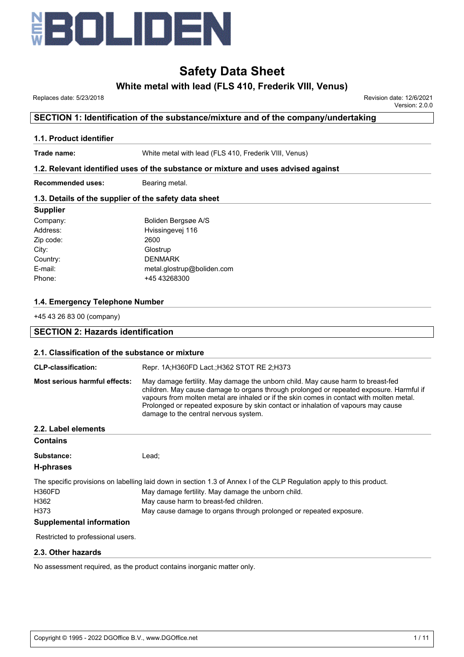

# **White metal with lead (FLS 410, Frederik VIII, Venus)**

 Replaces date: 5/23/2018 Revision date: 12/6/2021 Version: 2.0.0

# **SECTION 1: Identification of the substance/mixture and of the company/undertaking**

# **1.1. Product identifier**

**Trade name:** White metal with lead (FLS 410, Frederik VIII, Venus)

# **1.2. Relevant identified uses of the substance or mixture and uses advised against**

**Recommended uses:** Bearing metal.

# **1.3. Details of the supplier of the safety data sheet**

# **Supplier**

| Boliden Bergsøe A/S        |
|----------------------------|
| Hvissingevej 116           |
| 2600                       |
| Glostrup                   |
| <b>DENMARK</b>             |
| metal.glostrup@boliden.com |
| +45 43268300               |
|                            |

# **1.4. Emergency Telephone Number**

+45 43 26 83 00 (company)

| <b>SECTION 2: Hazards identification</b>        |                                                                                                                                                                                                                                                                                                                                                                                                      |  |  |
|-------------------------------------------------|------------------------------------------------------------------------------------------------------------------------------------------------------------------------------------------------------------------------------------------------------------------------------------------------------------------------------------------------------------------------------------------------------|--|--|
| 2.1. Classification of the substance or mixture |                                                                                                                                                                                                                                                                                                                                                                                                      |  |  |
| <b>CLP-classification:</b>                      | Repr. 1A;H360FD Lact.;H362 STOT RE 2;H373                                                                                                                                                                                                                                                                                                                                                            |  |  |
| Most serious harmful effects:                   | May damage fertility. May damage the unborn child. May cause harm to breast-fed<br>children. May cause damage to organs through prolonged or repeated exposure. Harmful if<br>vapours from molten metal are inhaled or if the skin comes in contact with molten metal.<br>Prolonged or repeated exposure by skin contact or inhalation of vapours may cause<br>damage to the central nervous system. |  |  |
| 2.2. Label elements                             |                                                                                                                                                                                                                                                                                                                                                                                                      |  |  |
| <b>Contains</b>                                 |                                                                                                                                                                                                                                                                                                                                                                                                      |  |  |
| Substance:                                      | Lead:                                                                                                                                                                                                                                                                                                                                                                                                |  |  |
| <b>H-phrases</b>                                |                                                                                                                                                                                                                                                                                                                                                                                                      |  |  |
|                                                 | The specific provisions on labelling laid down in section 1.3 of Annex I of the CLP Regulation apply to this product.                                                                                                                                                                                                                                                                                |  |  |
| <b>H360FD</b>                                   | May damage fertility. May damage the unborn child.                                                                                                                                                                                                                                                                                                                                                   |  |  |
| H362                                            | May cause harm to breast-fed children.                                                                                                                                                                                                                                                                                                                                                               |  |  |
| H373                                            | May cause damage to organs through prolonged or repeated exposure.                                                                                                                                                                                                                                                                                                                                   |  |  |
| <b>Supplemental information</b>                 |                                                                                                                                                                                                                                                                                                                                                                                                      |  |  |
| Restricted to professional users.               |                                                                                                                                                                                                                                                                                                                                                                                                      |  |  |
| 2.3. Other hazards                              |                                                                                                                                                                                                                                                                                                                                                                                                      |  |  |

No assessment required, as the product contains inorganic matter only.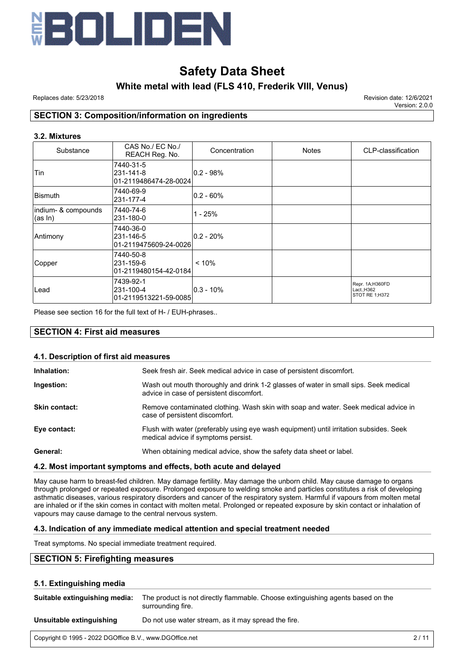

# **White metal with lead (FLS 410, Frederik VIII, Venus)**

Replaces date: 5/23/2018 Revision date: 12/6/2021

Version: 2.0.0

# **SECTION 3: Composition/information on ingredients**

# **3.2. Mixtures**

| Substance                        | CAS No./ EC No./<br>REACH Reg. No.               | Concentration | <b>Notes</b> | CLP-classification                              |
|----------------------------------|--------------------------------------------------|---------------|--------------|-------------------------------------------------|
| Tin                              | 7440-31-5<br>231-141-8<br>01-2119486474-28-0024  | $ 0.2 - 98%$  |              |                                                 |
| <b>Bismuth</b>                   | 7440-69-9<br>231-177-4                           | $ 0.2 - 60\%$ |              |                                                 |
| indium- & compounds<br>$(as ln)$ | 7440-74-6<br>231-180-0                           | 1 - 25%       |              |                                                 |
| Antimony                         | 7440-36-0<br>231-146-5<br>01-2119475609-24-0026  | $ 0.2 - 20\%$ |              |                                                 |
| Copper                           | 7440-50-8<br>231-159-6<br> 01-2119480154-42-0184 | $< 10\%$      |              |                                                 |
| Lead                             | 7439-92-1<br>231-100-4<br>01-2119513221-59-0085  | $ 0.3 - 10\%$ |              | Repr. 1A;H360FD<br>Lact.;H362<br>STOT RE 1:H372 |

Please see section 16 for the full text of H- / EUH-phrases..

# **SECTION 4: First aid measures**

| 4.1. Description of first aid measures |                                                                                                                                  |  |  |  |
|----------------------------------------|----------------------------------------------------------------------------------------------------------------------------------|--|--|--|
| Inhalation:                            | Seek fresh air. Seek medical advice in case of persistent discomfort.                                                            |  |  |  |
| Ingestion:                             | Wash out mouth thoroughly and drink 1-2 glasses of water in small sips. Seek medical<br>advice in case of persistent discomfort. |  |  |  |
| <b>Skin contact:</b>                   | Remove contaminated clothing. Wash skin with soap and water. Seek medical advice in<br>case of persistent discomfort.            |  |  |  |
| Eye contact:                           | Flush with water (preferably using eye wash equipment) until irritation subsides. Seek<br>medical advice if symptoms persist.    |  |  |  |
| General:                               | When obtaining medical advice, show the safety data sheet or label.                                                              |  |  |  |

# **4.2. Most important symptoms and effects, both acute and delayed**

May cause harm to breast-fed children. May damage fertility. May damage the unborn child. May cause damage to organs through prolonged or repeated exposure. Prolonged exposure to welding smoke and particles constitutes a risk of developing asthmatic diseases, various respiratory disorders and cancer of the respiratory system. Harmful if vapours from molten metal are inhaled or if the skin comes in contact with molten metal. Prolonged or repeated exposure by skin contact or inhalation of vapours may cause damage to the central nervous system.

# **4.3. Indication of any immediate medical attention and special treatment needed**

Treat symptoms. No special immediate treatment required.

# **SECTION 5: Firefighting measures**

# **5.1. Extinguishing media**

| Suitable extinguishing media: | The product is not directly flammable. Choose extinguishing agents based on the<br>surrounding fire. |
|-------------------------------|------------------------------------------------------------------------------------------------------|
| Unsuitable extinguishing      | Do not use water stream, as it may spread the fire.                                                  |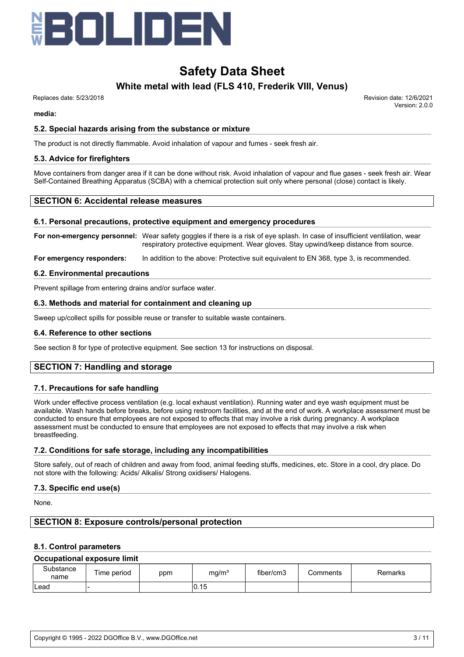

# **White metal with lead (FLS 410, Frederik VIII, Venus)**

Replaces date: 5/23/2018 Revision date: 12/6/2021

Version: 2.0.0

**media:**

# **5.2. Special hazards arising from the substance or mixture**

The product is not directly flammable. Avoid inhalation of vapour and fumes - seek fresh air.

# **5.3. Advice for firefighters**

Move containers from danger area if it can be done without risk. Avoid inhalation of vapour and flue gases - seek fresh air. Wear Self-Contained Breathing Apparatus (SCBA) with a chemical protection suit only where personal (close) contact is likely.

# **SECTION 6: Accidental release measures**

# **6.1. Personal precautions, protective equipment and emergency procedures**

**For non-emergency personnel:** Wear safety goggles if there is a risk of eye splash. In case of insufficient ventilation, wear respiratory protective equipment. Wear gloves. Stay upwind/keep distance from source.

**For emergency responders:** In addition to the above: Protective suit equivalent to EN 368, type 3, is recommended.

#### **6.2. Environmental precautions**

Prevent spillage from entering drains and/or surface water.

# **6.3. Methods and material for containment and cleaning up**

Sweep up/collect spills for possible reuse or transfer to suitable waste containers.

# **6.4. Reference to other sections**

See section 8 for type of protective equipment. See section 13 for instructions on disposal.

# **SECTION 7: Handling and storage**

# **7.1. Precautions for safe handling**

Work under effective process ventilation (e.g. local exhaust ventilation). Running water and eye wash equipment must be available. Wash hands before breaks, before using restroom facilities, and at the end of work. A workplace assessment must be conducted to ensure that employees are not exposed to effects that may involve a risk during pregnancy. A workplace assessment must be conducted to ensure that employees are not exposed to effects that may involve a risk when breastfeeding.

# **7.2. Conditions for safe storage, including any incompatibilities**

Store safely, out of reach of children and away from food, animal feeding stuffs, medicines, etc. Store in a cool, dry place. Do not store with the following: Acids/ Alkalis/ Strong oxidisers/ Halogens.

# **7.3. Specific end use(s)**

None.

# **SECTION 8: Exposure controls/personal protection**

# **8.1. Control parameters**

#### **Occupational exposure limit**

| Substance<br>name | Time period | ppm | mg/m <sup>3</sup> | fiber/cm3 | Comments | Remarks |
|-------------------|-------------|-----|-------------------|-----------|----------|---------|
| Lead              | . .         |     | 0.15              |           |          |         |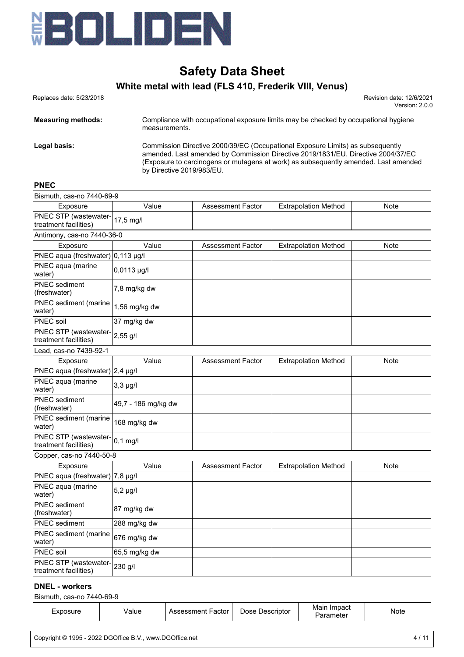

# **White metal with lead (FLS 410, Frederik VIII, Venus)**

 Replaces date: 5/23/2018 Revision date: 12/6/2021 Version: 2.0.0

**Measuring methods:** Compliance with occupational exposure limits may be checked by occupational hygiene measurements. **Legal basis:** Commission Directive 2000/39/EC (Occupational Exposure Limits) as subsequently amended. Last amended by Commission Directive 2019/1831/EU. Directive 2004/37/EC (Exposure to carcinogens or mutagens at work) as subsequently amended. Last amended by Directive 2019/983/EU.

# **PNEC**

| Bismuth, cas-no 7440-69-9                      |                     |                          |                             |             |
|------------------------------------------------|---------------------|--------------------------|-----------------------------|-------------|
| Exposure                                       | Value               | <b>Assessment Factor</b> | <b>Extrapolation Method</b> | Note        |
| PNEC STP (wastewater-<br>treatment facilities) | 17,5 mg/l           |                          |                             |             |
| Antimony, cas-no 7440-36-0                     |                     |                          |                             |             |
| Exposure                                       | Value               | <b>Assessment Factor</b> | <b>Extrapolation Method</b> | Note        |
| PNEC aqua (freshwater) 0,113 µg/l              |                     |                          |                             |             |
| PNEC aqua (marine<br>water)                    | 0,0113 µg/l         |                          |                             |             |
| <b>PNEC</b> sediment<br>(freshwater)           | 7,8 mg/kg dw        |                          |                             |             |
| PNEC sediment (marine<br>water)                | 1,56 mg/kg dw       |                          |                             |             |
| <b>PNEC soil</b>                               | 37 mg/kg dw         |                          |                             |             |
| PNEC STP (wastewater-<br>treatment facilities) | 2,55 g/l            |                          |                             |             |
| Lead, cas-no 7439-92-1                         |                     |                          |                             |             |
| Exposure                                       | Value               | <b>Assessment Factor</b> | <b>Extrapolation Method</b> | <b>Note</b> |
| PNEC aqua (freshwater) 2,4 µg/l                |                     |                          |                             |             |
| PNEC aqua (marine<br>water)                    | $3,3$ $\mu$ g/l     |                          |                             |             |
| <b>PNEC</b> sediment<br>(freshwater)           | 49,7 - 186 mg/kg dw |                          |                             |             |
| PNEC sediment (marine<br>water)                | 168 mg/kg dw        |                          |                             |             |
| PNEC STP (wastewater-<br>treatment facilities) | $0,1$ mg/l          |                          |                             |             |
| Copper, cas-no 7440-50-8                       |                     |                          |                             |             |
| Exposure                                       | Value               | <b>Assessment Factor</b> | <b>Extrapolation Method</b> | <b>Note</b> |
| PNEC aqua (freshwater) 7,8 µg/l                |                     |                          |                             |             |
| PNEC aqua (marine<br>water)                    | $5,2 \mu g/l$       |                          |                             |             |
| <b>PNEC</b> sediment<br>(freshwater)           | 87 mg/kg dw         |                          |                             |             |
| <b>PNEC</b> sediment                           | 288 mg/kg dw        |                          |                             |             |
| PNEC sediment (marine<br>water)                | 676 mg/kg dw        |                          |                             |             |
| PNEC soil                                      | 65,5 mg/kg dw       |                          |                             |             |
| PNEC STP (wastewater-<br>treatment facilities) | 230 g/l             |                          |                             |             |

## **DNEL - workers**

| Bismuth, cas-no 7440-69-9 |       |                   |                 |                          |      |
|---------------------------|-------|-------------------|-----------------|--------------------------|------|
| Exposure                  | √alue | Assessment Factor | Dose Descriptor | Main Impact<br>Parameter | Note |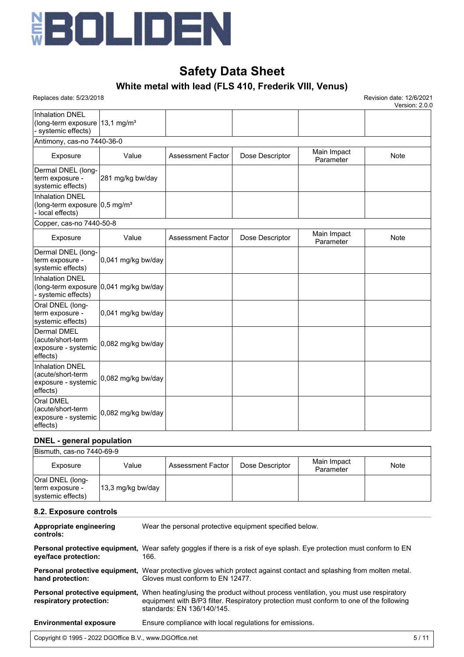

# **White metal with lead (FLS 410, Frederik VIII, Venus)**

 Replaces date: 5/23/2018 Revision date: 12/6/2021 Version: 2.0.0

| <b>Inhalation DNEL</b><br>(long-term exposure $ 13,1 \text{ mg/m}^3$<br>systemic effects) |                      |                          |                 |                          |      |
|-------------------------------------------------------------------------------------------|----------------------|--------------------------|-----------------|--------------------------|------|
| Antimony, cas-no 7440-36-0                                                                |                      |                          |                 |                          |      |
| Exposure                                                                                  | Value                | <b>Assessment Factor</b> | Dose Descriptor | Main Impact<br>Parameter | Note |
| Dermal DNEL (long-<br>term exposure -<br>systemic effects)                                | 281 mg/kg bw/day     |                          |                 |                          |      |
| Inhalation DNEL<br>(long-term exposure $ 0,5 \text{ mg/m}^3$<br>local effects)            |                      |                          |                 |                          |      |
| Copper, cas-no 7440-50-8                                                                  |                      |                          |                 |                          |      |
| Exposure                                                                                  | Value                | <b>Assessment Factor</b> | Dose Descriptor | Main Impact<br>Parameter | Note |
| Dermal DNEL (long-<br>term exposure -<br>systemic effects)                                | 0,041 mg/kg bw/day   |                          |                 |                          |      |
| Inhalation DNEL<br>(long-term exposure $ 0,041$ mg/kg bw/day<br>- systemic effects)       |                      |                          |                 |                          |      |
| Oral DNEL (long-<br>term exposure -<br>systemic effects)                                  | $0,041$ mg/kg bw/day |                          |                 |                          |      |
| <b>Dermal DMEL</b><br>(acute/short-term<br>exposure - systemic<br>effects)                | 0,082 mg/kg bw/day   |                          |                 |                          |      |
| <b>Inhalation DNEL</b><br>(acute/short-term<br>exposure - systemic<br>effects)            | 0,082 mg/kg bw/day   |                          |                 |                          |      |
| <b>Oral DMEL</b><br>(acute/short-term<br>exposure - systemic<br>effects)                  | 0,082 mg/kg bw/day   |                          |                 |                          |      |

# **DNEL - general population**

| Bismuth, cas-no 7440-69-9                                |                   |                     |                 |                          |      |
|----------------------------------------------------------|-------------------|---------------------|-----------------|--------------------------|------|
| Exposure                                                 | Value             | Assessment Factor I | Dose Descriptor | Main Impact<br>Parameter | Note |
| Oral DNEL (long-<br>term exposure -<br>systemic effects) | 13,3 mg/kg bw/day |                     |                 |                          |      |

# **8.2. Exposure controls**

| Appropriate engineering<br>controls: | Wear the personal protective equipment specified below.                                                                                                                                                                                             |
|--------------------------------------|-----------------------------------------------------------------------------------------------------------------------------------------------------------------------------------------------------------------------------------------------------|
| eye/face protection:                 | Personal protective equipment, Wear safety goggles if there is a risk of eye splash. Eye protection must conform to EN<br>166.                                                                                                                      |
| hand protection:                     | <b>Personal protective equipment.</b> Wear protective gloves which protect against contact and splashing from molten metal.<br>Gloves must conform to EN 12477.                                                                                     |
| respiratory protection:              | <b>Personal protective equipment,</b> When heating/using the product without process ventilation, you must use respiratory<br>equipment with B/P3 filter. Respiratory protection must conform to one of the following<br>standards: EN 136/140/145. |
| <b>Environmental exposure</b>        | Ensure compliance with local regulations for emissions.                                                                                                                                                                                             |
|                                      |                                                                                                                                                                                                                                                     |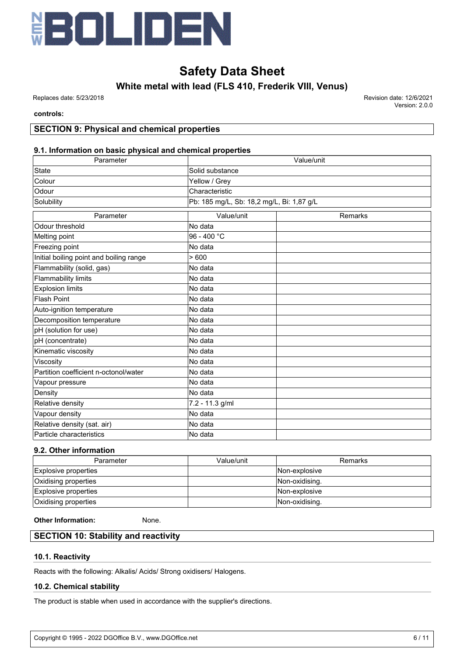

**White metal with lead (FLS 410, Frederik VIII, Venus)**

 Replaces date: 5/23/2018 Revision date: 12/6/2021 Version: 2.0.0

## **controls:**

# **SECTION 9: Physical and chemical properties**

# **9.1. Information on basic physical and chemical properties**

| Parameter                               | Value/unit                                |         |  |
|-----------------------------------------|-------------------------------------------|---------|--|
| State                                   | Solid substance                           |         |  |
| Colour                                  | Yellow / Grey                             |         |  |
| Odour                                   | Characteristic                            |         |  |
| Solubility                              | Pb: 185 mg/L, Sb: 18,2 mg/L, Bi: 1,87 g/L |         |  |
| Parameter                               | Value/unit                                | Remarks |  |
| Odour threshold                         | No data                                   |         |  |
| Melting point                           | 96 - 400 °C                               |         |  |
| Freezing point                          | No data                                   |         |  |
| Initial boiling point and boiling range | >600                                      |         |  |
| Flammability (solid, gas)               | No data                                   |         |  |
| <b>Flammability limits</b>              | No data                                   |         |  |
| <b>Explosion limits</b>                 | No data                                   |         |  |
| <b>Flash Point</b>                      | No data                                   |         |  |
| Auto-ignition temperature               | No data                                   |         |  |
| Decomposition temperature               | No data                                   |         |  |
| pH (solution for use)                   | No data                                   |         |  |
| pH (concentrate)                        | No data                                   |         |  |
| Kinematic viscosity                     | No data                                   |         |  |
| Viscosity                               | No data                                   |         |  |
| Partition coefficient n-octonol/water   | No data                                   |         |  |
| Vapour pressure                         | No data                                   |         |  |
| Density                                 | No data                                   |         |  |
| Relative density                        | 7.2 - 11.3 g/ml                           |         |  |
| Vapour density                          | No data                                   |         |  |
| Relative density (sat. air)             | No data                                   |         |  |
| Particle characteristics                | No data                                   |         |  |

# **9.2. Other information**

| Parameter            | Value/unit | Remarks        |
|----------------------|------------|----------------|
| Explosive properties |            | Non-explosive  |
| Oxidising properties |            | Non-oxidising. |
| Explosive properties |            | Non-explosive  |
| Oxidising properties |            | Non-oxidising. |

# **Other Information:** None.

# **SECTION 10: Stability and reactivity**

# **10.1. Reactivity**

Reacts with the following: Alkalis/ Acids/ Strong oxidisers/ Halogens.

# **10.2. Chemical stability**

The product is stable when used in accordance with the supplier's directions.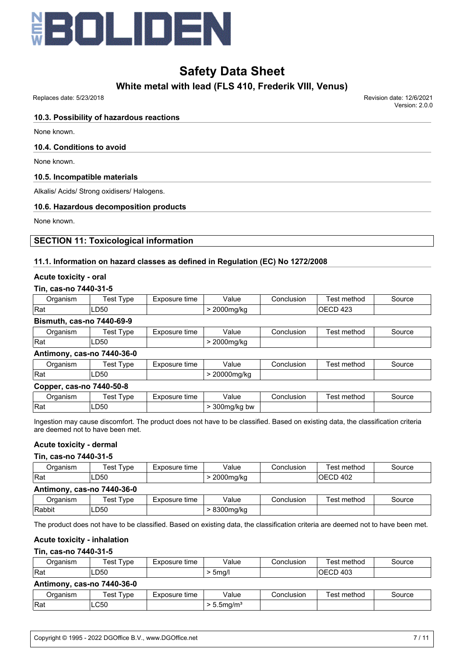

**White metal with lead (FLS 410, Frederik VIII, Venus)**

Replaces date: 5/23/2018 Revision date: 12/6/2021

Version: 2.0.0

# **10.3. Possibility of hazardous reactions**

None known.

# **10.4. Conditions to avoid**

None known.

# **10.5. Incompatible materials**

Alkalis/ Acids/ Strong oxidisers/ Halogens.

# **10.6. Hazardous decomposition products**

None known.

# **SECTION 11: Toxicological information**

# **11.1. Information on hazard classes as defined in Regulation (EC) No 1272/2008**

# **Acute toxicity - oral**

# **Tin, cas-no 7440-31-5**

| Jraanism | vpe<br>est | -xnosure<br>tıme | Value<br>.                  | Conclusion | method<br>est            | iource |
|----------|------------|------------------|-----------------------------|------------|--------------------------|--------|
| Rat      | LD50       |                  | nnnn<br>م دا ا<br>zuuuma/ka |            | $\sqrt{2}$<br>ΟE.<br>−∠⊾ |        |

# **Bismuth, cas-no 7440-69-9**

| <i>I</i> rganism | vpe<br>est<br>າosure<br>time<br>$-11$<br>– ^ ~ ~ |  | Value                                | Conclusion | method<br>es | `ource |
|------------------|--------------------------------------------------|--|--------------------------------------|------------|--------------|--------|
| Rat              | $\Gamma$<br>LD50                                 |  | $_{\nu}$<br><b>NQ/KO</b><br>וטו<br>ີ |            |              |        |

# **Antimony, cas-no 7440-36-0**

| )raanism | vpe<br>est | Exposure<br>time | $\cdot$<br>/alue | Conclusion | method<br>est | source |
|----------|------------|------------------|------------------|------------|---------------|--------|
| Rat      | D50ء       |                  | 20000mg/kg<br>ັ  |            |               |        |

# **Copper, cas-no 7440-50-8**

| ⊃rɑanısm | vpe<br>'est | Exposure<br>time | √alue                         | Conclusion | $\cdot$ .<br>method<br>est | Source |
|----------|-------------|------------------|-------------------------------|------------|----------------------------|--------|
| Rat      | LD50        |                  | ິດດດ<br>300ma/ka<br>bw<br>. . |            |                            |        |

Ingestion may cause discomfort. The product does not have to be classified. Based on existing data, the classification criteria are deemed not to have been met.

# **Acute toxicity - dermal**

# **Tin, cas-no 7440-31-5**

| Organism                   | <b>Fest Type</b> | Exposure time | Value     | Conclusion | Test method | Source |  |  |
|----------------------------|------------------|---------------|-----------|------------|-------------|--------|--|--|
| Rat                        | LD50             |               | 2000mg/kg |            | 'OECD 402   |        |  |  |
| Antimony, cas-no 7440-36-0 |                  |               |           |            |             |        |  |  |

| )raanism | est<br>vpe  | posure<br>time<br>$-10o$ | Value                   | Conclusion | . method<br>'est | source |
|----------|-------------|--------------------------|-------------------------|------------|------------------|--------|
| lRabbit  | <b>LD50</b> |                          | 0.000<br>isuui<br>שטווע |            |                  |        |

The product does not have to be classified. Based on existing data, the classification criteria are deemed not to have been met.

# **Acute toxicity - inhalation**

# **Tin, cas-no 7440-31-5**

| Organism                   | Test Tvpe | Exposure time          | Value<br>Conclusion       |            | Test method | Source |  |
|----------------------------|-----------|------------------------|---------------------------|------------|-------------|--------|--|
| <b>Rat</b>                 | LD50      | IOECD 403<br>$>$ 5mg/l |                           |            |             |        |  |
| Antimony, cas-no 7440-36-0 |           |                        |                           |            |             |        |  |
| Organism                   | Test Type | Exposure time          | Value                     | Conclusion | Test method | Source |  |
| <b>IRat</b>                | LC50      |                        | $> 5.5$ mg/m <sup>3</sup> |            |             |        |  |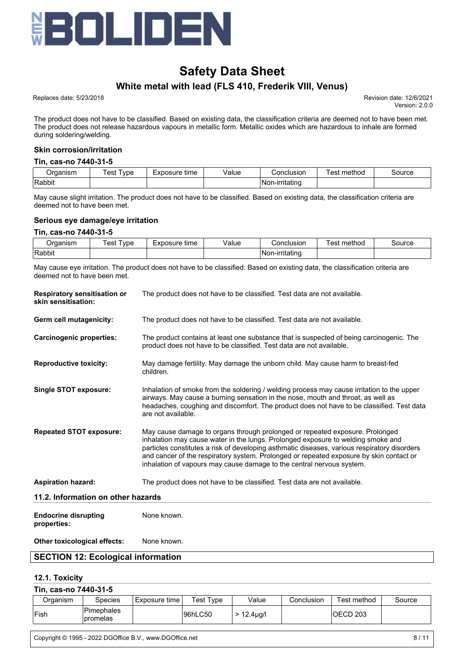

# **White metal with lead (FLS 410, Frederik VIII, Venus)**

Replaces date: 5/23/2018 Revision date: 12/6/2021

Version: 2.0.0

The product does not have to be classified. Based on existing data, the classification criteria are deemed not to have been met. The product does not release hazardous vapours in metallic form. Metallic oxides which are hazardous to inhale are formed during soldering/welding.

## **Skin corrosion/irritation**

#### **Tin, cas-no 7440-31-5**

| Jraanism | 'esı<br>vpe | Exposure<br>time<br>–∧v' | /alue | Conclusion                  | method<br>∩et<br>ငာ၊ | source |
|----------|-------------|--------------------------|-------|-----------------------------|----------------------|--------|
| Rabbit   |             |                          |       | . .<br>n-irritating<br>Nor. |                      |        |

May cause slight irritation. The product does not have to be classified. Based on existing data, the classification criteria are deemed not to have been met.

#### **Serious eye damage/eye irritation**

#### **Tin, cas-no 7440-31-5**

| 1.0012.0012.001<br>11511<br>$\sim$ $\sim$ | vpe<br>es | time<br><b>A 4.50</b><br>ำรแ⊾<br>__ | alue<br>. | ICIOP<br>้ำท.<br>usior<br>. | method<br>൧൳<br>___ | OUICE |
|-------------------------------------------|-----------|-------------------------------------|-----------|-----------------------------|---------------------|-------|
| Rabbit                                    |           |                                     |           | ----<br>∣N∩r                |                     |       |

May cause eye irritation. The product does not have to be classified. Based on existing data, the classification criteria are deemed not to have been met.

| <b>Respiratory sensitisation or</b><br>skin sensitisation: | The product does not have to be classified. Test data are not available.                                                                                                                                                                                                                                                                                                                                                             |
|------------------------------------------------------------|--------------------------------------------------------------------------------------------------------------------------------------------------------------------------------------------------------------------------------------------------------------------------------------------------------------------------------------------------------------------------------------------------------------------------------------|
| Germ cell mutagenicity:                                    | The product does not have to be classified. Test data are not available.                                                                                                                                                                                                                                                                                                                                                             |
| <b>Carcinogenic properties:</b>                            | The product contains at least one substance that is suspected of being carcinogenic. The<br>product does not have to be classified. Test data are not available.                                                                                                                                                                                                                                                                     |
| <b>Reproductive toxicity:</b>                              | May damage fertility. May damage the unborn child. May cause harm to breast-fed<br>children.                                                                                                                                                                                                                                                                                                                                         |
| Single STOT exposure:                                      | Inhalation of smoke from the soldering / welding process may cause irritation to the upper<br>airways. May cause a burning sensation in the nose, mouth and throat, as well as<br>headaches, coughing and discomfort. The product does not have to be classified. Test data<br>are not available.                                                                                                                                    |
| <b>Repeated STOT exposure:</b>                             | May cause damage to organs through prolonged or repeated exposure. Prolonged<br>inhalation may cause water in the lungs. Prolonged exposure to welding smoke and<br>particles constitutes a risk of developing asthmatic diseases, various respiratory disorders<br>and cancer of the respiratory system. Prolonged or repeated exposure by skin contact or<br>inhalation of vapours may cause damage to the central nervous system. |
| <b>Aspiration hazard:</b>                                  | The product does not have to be classified. Test data are not available.                                                                                                                                                                                                                                                                                                                                                             |
| 11.2. Information on other hazards                         |                                                                                                                                                                                                                                                                                                                                                                                                                                      |
| <b>Endocrine disrupting</b><br>properties:                 | None known.                                                                                                                                                                                                                                                                                                                                                                                                                          |
| <b>Other toxicological effects:</b>                        | None known.                                                                                                                                                                                                                                                                                                                                                                                                                          |

# **SECTION 12: Ecological information**

#### **12.1. Toxicity**

**Tin, cas-no 7440-31-5**

| TIII, CAS-IIO 7440-31-3 |                         |                 |           |                  |            |             |        |  |  |
|-------------------------|-------------------------|-----------------|-----------|------------------|------------|-------------|--------|--|--|
| Organism                | Species                 | Exposure time i | Test Tvpe | Value            | Conclusion | Test method | Source |  |  |
| <b>Fish</b>             | Pimephales<br>Ipromelas |                 | 96hLC50   | $> 12.4 \mu$ g/l |            | 'OECD 203   |        |  |  |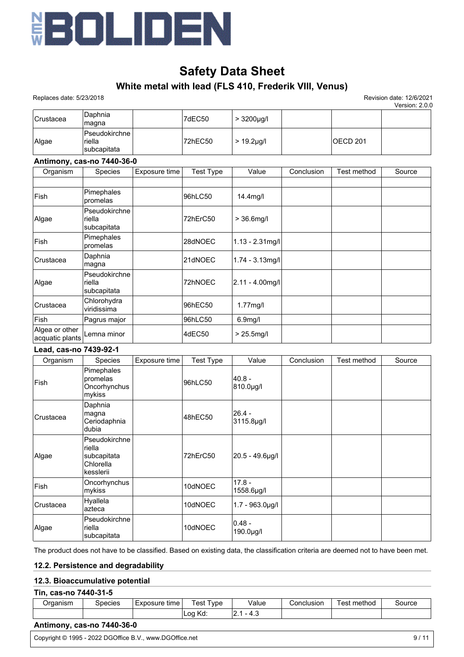

# **White metal with lead (FLS 410, Frederik VIII, Venus)**

 Replaces date: 5/23/2018 Revision date: 12/6/2021 Version: 2.0.0

|                  |                                           |         |                  |           | . |
|------------------|-------------------------------------------|---------|------------------|-----------|---|
| <b>Crustacea</b> | Daphnia<br> magna                         | 7dEC50  | $> 3200 \mu g/l$ |           |   |
| Algae            | Pseudokirchne  <br>riella<br>Isubcapitata | 72hEC50 | $> 19.2$ µg/l    | IOECD 201 |   |

## **Antimony, cas-no 7440-36-0**

| Organism                          | <b>Species</b>                         | Exposure time | <b>Test Type</b> | Value                | Conclusion | Test method | Source |
|-----------------------------------|----------------------------------------|---------------|------------------|----------------------|------------|-------------|--------|
|                                   |                                        |               |                  |                      |            |             |        |
| Fish                              | Pimephales<br>promelas                 |               | 96hLC50          | 14.4mg/l             |            |             |        |
| Algae                             | Pseudokirchne<br>riella<br>subcapitata |               | 72hErC50         | $> 36.6$ mg/l        |            |             |        |
| Fish                              | Pimephales<br>promelas                 |               | 28dNOEC          | $1.13 - 2.31$ mg/l   |            |             |        |
| Crustacea                         | Daphnia<br>magna                       |               | 21dNOEC          | $1.74 - 3.13$ mg/l   |            |             |        |
| Algae                             | Pseudokirchne<br>riella<br>subcapitata |               | 72hNOEC          | $ 2.11 - 4.00$ mg/l  |            |             |        |
| Crustacea                         | Chlorohydra<br>viridissima             |               | 96hEC50          | $1.77$ mg/l          |            |             |        |
| Fish                              | Pagrus major                           |               | 96hLC50          | 6.9 <sub>mg</sub> /I |            |             |        |
| Algea or other<br>acquatic plants | Lemna minor                            |               | 4dEC50           | $> 25.5$ mg/l        |            |             |        |

#### **Lead, cas-no 7439-92-1**

| Organism  | <b>Species</b>                                                   | Exposure time | <b>Test Type</b> | Value                  | Conclusion | Test method | Source |
|-----------|------------------------------------------------------------------|---------------|------------------|------------------------|------------|-------------|--------|
| Fish      | Pimephales<br>promelas<br>Oncorhynchus<br>mykiss                 |               | 96hLC50          | 40.8 -<br>810.0µg/l    |            |             |        |
| Crustacea | Daphnia<br>magna<br>Ceriodaphnia<br>dubia                        |               | 48hEC50          | 26.4 -<br>3115.8µg/l   |            |             |        |
| Algae     | Pseudokirchne<br>riella<br>subcapitata<br>Chlorella<br>kesslerii |               | 72hErC50         | 20.5 - 49.6µg/l        |            |             |        |
| Fish      | Oncorhynchus<br>mykiss                                           |               | 10dNOEC          | $17.8 -$<br>1558.6µg/l |            |             |        |
| Crustacea | Hyallela<br>lazteca                                              |               | 10dNOEC          | $1.7 - 963.0 \mu g/l$  |            |             |        |
| Algae     | Pseudokirchne<br>riella<br>subcapitata                           |               | 10dNOEC          | 0.48 -<br>190.0µg/l    |            |             |        |

The product does not have to be classified. Based on existing data, the classification criteria are deemed not to have been met.

# **12.2. Persistence and degradability**

## **12.3. Bioaccumulative potential**

| Tin, cas-no 7440-31-5 |  |
|-----------------------|--|
|-----------------------|--|

| Organism | Species | $\cdot$ .<br>Exposure time | est<br>vpe    | Value               | Conclusion | ∶method<br>'est | Source |
|----------|---------|----------------------------|---------------|---------------------|------------|-----------------|--------|
|          |         |                            | Kd:<br>$\sim$ | $\ddotsc$<br>$\sim$ |            |                 |        |

# **Antimony, cas-no 7440-36-0**

Copyright © 1995 - 2022 DGOffice B.V., www.DGOffice.net 9/11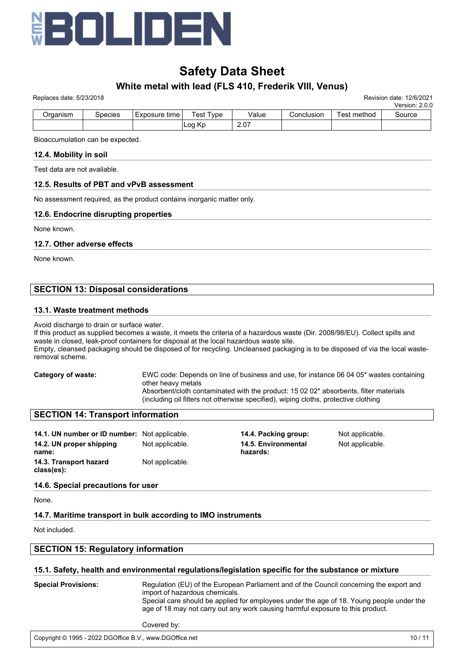

# Replaces date: 5/23/2018 Revision date: 12/6/2021 **White metal with lead (FLS 410, Frederik VIII, Venus)**

| $1$ subsequence $0$ and $0$ is $0$ |         |                 |                  |       |            |             | Version: 2.0.0 |
|------------------------------------|---------|-----------------|------------------|-------|------------|-------------|----------------|
| Organism                           | Species | Exposure time l | <b>Test Tvpe</b> | Value | Conclusion | Test method | Source         |
|                                    |         |                 | Log Kp           | 2.07  |            |             |                |

Bioaccumulation can be expected.

#### **12.4. Mobility in soil**

Test data are not available.

#### **12.5. Results of PBT and vPvB assessment**

No assessment required, as the product contains inorganic matter only.

#### **12.6. Endocrine disrupting properties**

None known.

#### **12.7. Other adverse effects**

None known.

# **SECTION 13: Disposal considerations**

#### **13.1. Waste treatment methods**

#### Avoid discharge to drain or surface water.

If this product as supplied becomes a waste, it meets the criteria of a hazardous waste (Dir. 2008/98/EU). Collect spills and waste in closed, leak-proof containers for disposal at the local hazardous waste site. Empty, cleansed packaging should be disposed of for recycling. Uncleansed packaging is to be disposed of via the local wasteremoval scheme.

**Category of waste:** EWC code: Depends on line of business and use, for instance 06 04 05\* wastes containing other heavy metals Absorbent/cloth contaminated with the product: 15 02 02\* absorbents, filter materials (including oil filters not otherwise specified), wiping cloths, protective clothing

# **SECTION 14: Transport information**

| 14.1. UN number or ID number: Not applicable. |                 |
|-----------------------------------------------|-----------------|
| 14.2. UN proper shipping                      | Not applicable. |
| name:                                         |                 |
| 14.3. Transport hazard                        | Not applicable. |
| class(es):                                    |                 |

**14.4. Packing group:** Not applicable. **14.5. Environmental hazards:**

Not applicable.

# **14.6. Special precautions for user**

None.

# **14.7. Maritime transport in bulk according to IMO instruments**

Not included.

# **SECTION 15: Regulatory information**

#### **15.1. Safety, health and environmental regulations/legislation specific for the substance or mixture**

**Special Provisions:** Regulation (EU) of the European Parliament and of the Council concerning the export and import of hazardous chemicals. Special care should be applied for employees under the age of 18. Young people under the age of 18 may not carry out any work causing harmful exposure to this product.

Covered by:

#### Copyright © 1995 - 2022 DGOffice B.V., www.DGOffice.net 10 / 11 comprised by Regulations. Copyright © 1995 - 2022 DGOffice B.V., www.DGOffice.net